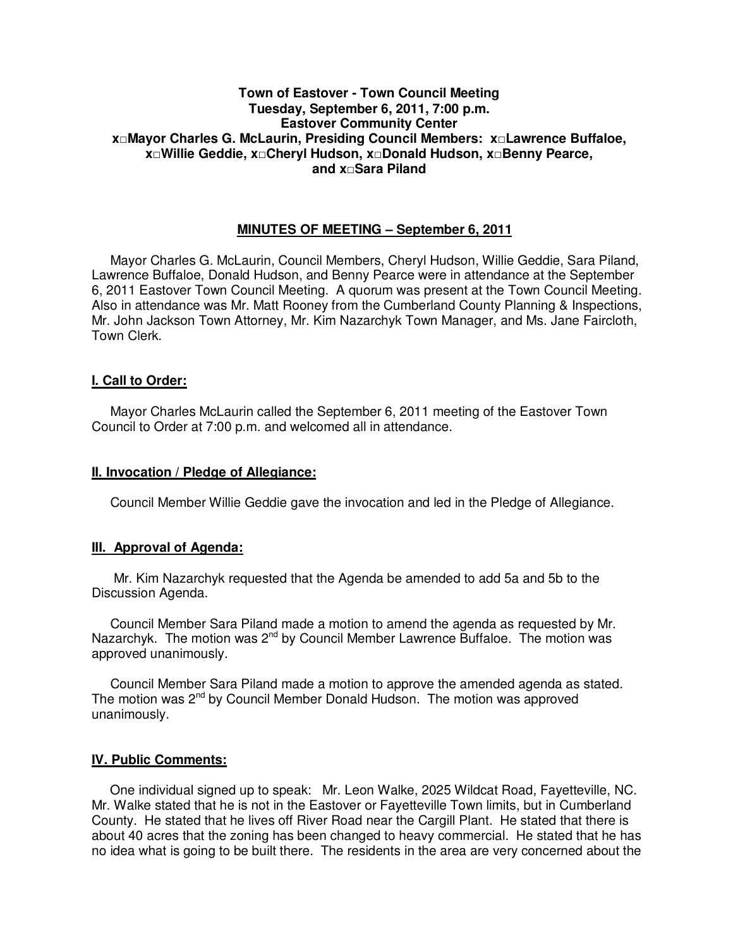# **Town of Eastover - Town Council Meeting Tuesday, September 6, 2011, 7:00 p.m. Eastover Community Center x□Mayor Charles G. McLaurin, Presiding Council Members: x□Lawrence Buffaloe, x□Willie Geddie, x□Cheryl Hudson, x□Donald Hudson, x□Benny Pearce, and x□Sara Piland**

# **MINUTES OF MEETING – September 6, 2011**

Mayor Charles G. McLaurin, Council Members, Cheryl Hudson, Willie Geddie, Sara Piland, Lawrence Buffaloe, Donald Hudson, and Benny Pearce were in attendance at the September 6, 2011 Eastover Town Council Meeting. A quorum was present at the Town Council Meeting. Also in attendance was Mr. Matt Rooney from the Cumberland County Planning & Inspections, Mr. John Jackson Town Attorney, Mr. Kim Nazarchyk Town Manager, and Ms. Jane Faircloth, Town Clerk.

# **I. Call to Order:**

Mayor Charles McLaurin called the September 6, 2011 meeting of the Eastover Town Council to Order at 7:00 p.m. and welcomed all in attendance.

# **II. Invocation / Pledge of Allegiance:**

Council Member Willie Geddie gave the invocation and led in the Pledge of Allegiance.

# **III. Approval of Agenda:**

 Mr. Kim Nazarchyk requested that the Agenda be amended to add 5a and 5b to the Discussion Agenda.

 Council Member Sara Piland made a motion to amend the agenda as requested by Mr. Nazarchyk. The motion was 2<sup>nd</sup> by Council Member Lawrence Buffaloe. The motion was approved unanimously.

 Council Member Sara Piland made a motion to approve the amended agenda as stated. The motion was 2<sup>nd</sup> by Council Member Donald Hudson. The motion was approved unanimously.

# **IV. Public Comments:**

 One individual signed up to speak: Mr. Leon Walke, 2025 Wildcat Road, Fayetteville, NC. Mr. Walke stated that he is not in the Eastover or Fayetteville Town limits, but in Cumberland County. He stated that he lives off River Road near the Cargill Plant. He stated that there is about 40 acres that the zoning has been changed to heavy commercial. He stated that he has no idea what is going to be built there. The residents in the area are very concerned about the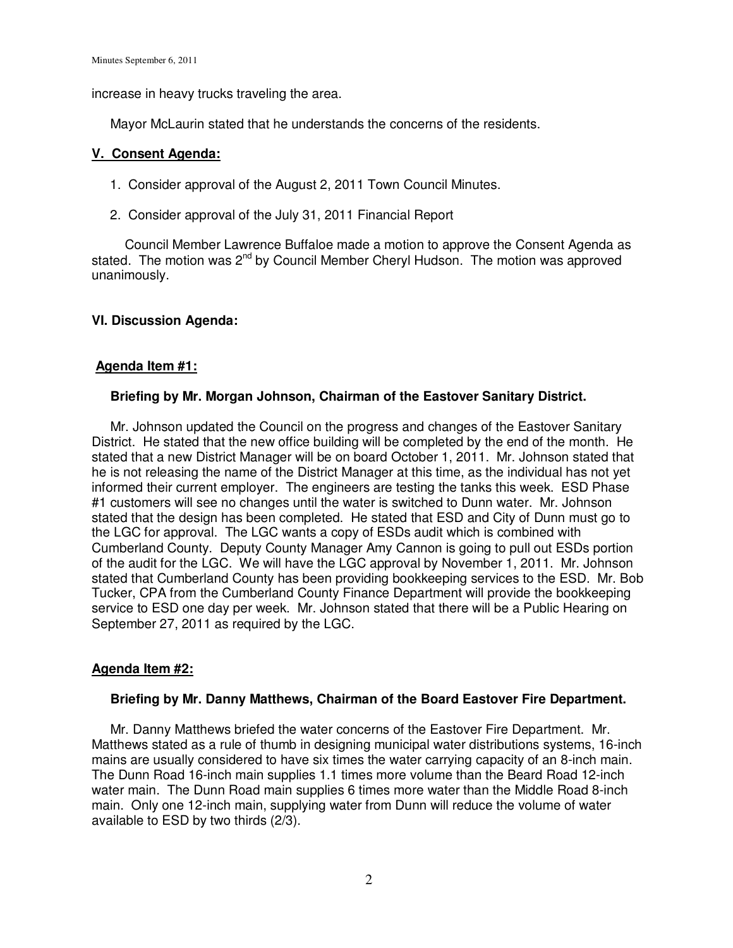increase in heavy trucks traveling the area.

Mayor McLaurin stated that he understands the concerns of the residents.

# **V. Consent Agenda:**

- 1. Consider approval of the August 2, 2011 Town Council Minutes.
- 2. Consider approval of the July 31, 2011 Financial Report

Council Member Lawrence Buffaloe made a motion to approve the Consent Agenda as stated. The motion was 2<sup>nd</sup> by Council Member Cheryl Hudson. The motion was approved unanimously.

# **VI. Discussion Agenda:**

# **Agenda Item #1:**

# **Briefing by Mr. Morgan Johnson, Chairman of the Eastover Sanitary District.**

 Mr. Johnson updated the Council on the progress and changes of the Eastover Sanitary District. He stated that the new office building will be completed by the end of the month. He stated that a new District Manager will be on board October 1, 2011. Mr. Johnson stated that he is not releasing the name of the District Manager at this time, as the individual has not yet informed their current employer. The engineers are testing the tanks this week. ESD Phase #1 customers will see no changes until the water is switched to Dunn water. Mr. Johnson stated that the design has been completed. He stated that ESD and City of Dunn must go to the LGC for approval. The LGC wants a copy of ESDs audit which is combined with Cumberland County. Deputy County Manager Amy Cannon is going to pull out ESDs portion of the audit for the LGC. We will have the LGC approval by November 1, 2011. Mr. Johnson stated that Cumberland County has been providing bookkeeping services to the ESD. Mr. Bob Tucker, CPA from the Cumberland County Finance Department will provide the bookkeeping service to ESD one day per week. Mr. Johnson stated that there will be a Public Hearing on September 27, 2011 as required by the LGC.

# **Agenda Item #2:**

# **Briefing by Mr. Danny Matthews, Chairman of the Board Eastover Fire Department.**

 Mr. Danny Matthews briefed the water concerns of the Eastover Fire Department. Mr. Matthews stated as a rule of thumb in designing municipal water distributions systems, 16-inch mains are usually considered to have six times the water carrying capacity of an 8-inch main. The Dunn Road 16-inch main supplies 1.1 times more volume than the Beard Road 12-inch water main. The Dunn Road main supplies 6 times more water than the Middle Road 8-inch main. Only one 12-inch main, supplying water from Dunn will reduce the volume of water available to ESD by two thirds (2/3).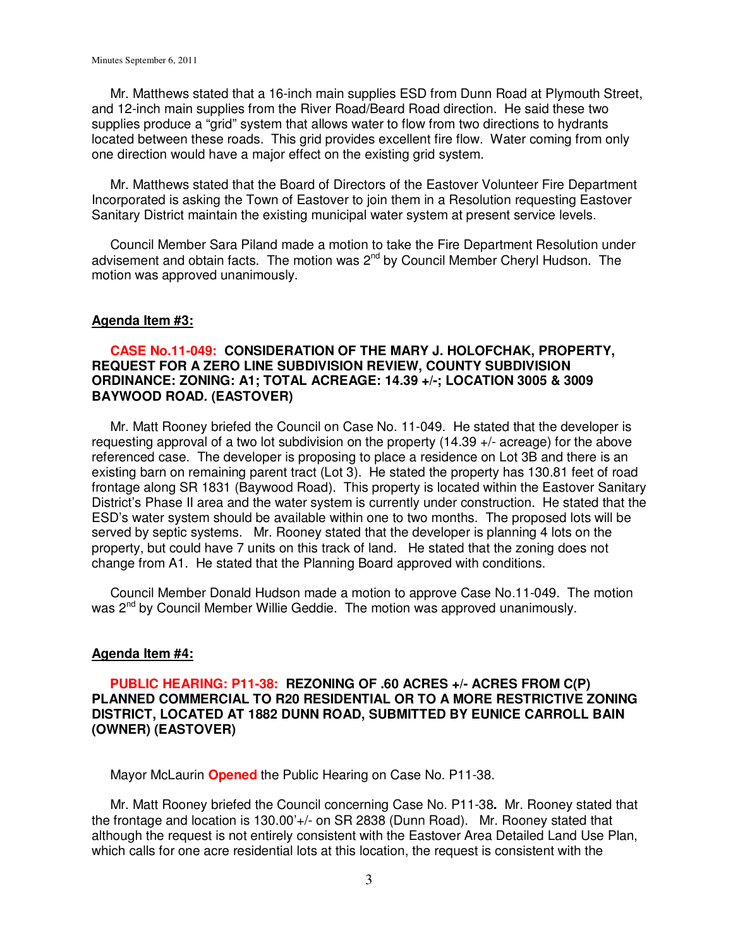Mr. Matthews stated that a 16-inch main supplies ESD from Dunn Road at Plymouth Street, and 12-inch main supplies from the River Road/Beard Road direction. He said these two supplies produce a "grid" system that allows water to flow from two directions to hydrants located between these roads. This grid provides excellent fire flow. Water coming from only one direction would have a major effect on the existing grid system.

 Mr. Matthews stated that the Board of Directors of the Eastover Volunteer Fire Department Incorporated is asking the Town of Eastover to join them in a Resolution requesting Eastover Sanitary District maintain the existing municipal water system at present service levels.

 Council Member Sara Piland made a motion to take the Fire Department Resolution under advisement and obtain facts. The motion was  $2^{nd}$  by Council Member Cheryl Hudson. The motion was approved unanimously.

#### **Agenda Item #3:**

# **CASE No.11-049: CONSIDERATION OF THE MARY J. HOLOFCHAK, PROPERTY, REQUEST FOR A ZERO LINE SUBDIVISION REVIEW, COUNTY SUBDIVISION ORDINANCE: ZONING: A1; TOTAL ACREAGE: 14.39 +/-; LOCATION 3005 & 3009 BAYWOOD ROAD. (EASTOVER)**

 Mr. Matt Rooney briefed the Council on Case No. 11-049. He stated that the developer is requesting approval of a two lot subdivision on the property (14.39 +/- acreage) for the above referenced case. The developer is proposing to place a residence on Lot 3B and there is an existing barn on remaining parent tract (Lot 3). He stated the property has 130.81 feet of road frontage along SR 1831 (Baywood Road). This property is located within the Eastover Sanitary District's Phase II area and the water system is currently under construction. He stated that the ESD's water system should be available within one to two months. The proposed lots will be served by septic systems. Mr. Rooney stated that the developer is planning 4 lots on the property, but could have 7 units on this track of land. He stated that the zoning does not change from A1. He stated that the Planning Board approved with conditions.

 Council Member Donald Hudson made a motion to approve Case No.11-049. The motion was 2<sup>nd</sup> by Council Member Willie Geddie. The motion was approved unanimously.

#### **Agenda Item #4:**

# **PUBLIC HEARING: P11-38: REZONING OF .60 ACRES +/- ACRES FROM C(P) PLANNED COMMERCIAL TO R20 RESIDENTIAL OR TO A MORE RESTRICTIVE ZONING DISTRICT, LOCATED AT 1882 DUNN ROAD, SUBMITTED BY EUNICE CARROLL BAIN (OWNER) (EASTOVER)**

Mayor McLaurin **Opened** the Public Hearing on Case No. P11-38.

 Mr. Matt Rooney briefed the Council concerning Case No. P11-38**.** Mr. Rooney stated that the frontage and location is 130.00'+/- on SR 2838 (Dunn Road). Mr. Rooney stated that although the request is not entirely consistent with the Eastover Area Detailed Land Use Plan, which calls for one acre residential lots at this location, the request is consistent with the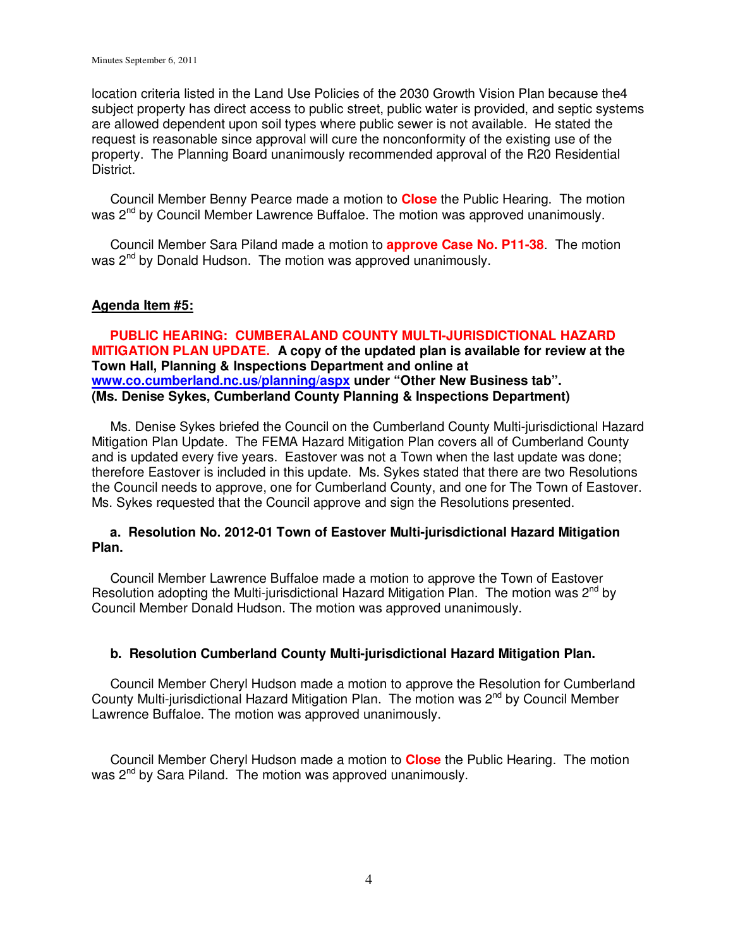location criteria listed in the Land Use Policies of the 2030 Growth Vision Plan because the4 subject property has direct access to public street, public water is provided, and septic systems are allowed dependent upon soil types where public sewer is not available. He stated the request is reasonable since approval will cure the nonconformity of the existing use of the property. The Planning Board unanimously recommended approval of the R20 Residential District.

 Council Member Benny Pearce made a motion to **Close** the Public Hearing. The motion was 2<sup>nd</sup> by Council Member Lawrence Buffaloe. The motion was approved unanimously.

 Council Member Sara Piland made a motion to **approve Case No. P11-38**. The motion was 2<sup>nd</sup> by Donald Hudson. The motion was approved unanimously.

# **Agenda Item #5:**

 **PUBLIC HEARING: CUMBERALAND COUNTY MULTI-JURISDICTIONAL HAZARD MITIGATION PLAN UPDATE. A copy of the updated plan is available for review at the Town Hall, Planning & Inspections Department and online at www.co.cumberland.nc.us/planning/aspx under "Other New Business tab". (Ms. Denise Sykes, Cumberland County Planning & Inspections Department)** 

 Ms. Denise Sykes briefed the Council on the Cumberland County Multi-jurisdictional Hazard Mitigation Plan Update. The FEMA Hazard Mitigation Plan covers all of Cumberland County and is updated every five years. Eastover was not a Town when the last update was done; therefore Eastover is included in this update. Ms. Sykes stated that there are two Resolutions the Council needs to approve, one for Cumberland County, and one for The Town of Eastover. Ms. Sykes requested that the Council approve and sign the Resolutions presented.

# **a. Resolution No. 2012-01 Town of Eastover Multi-jurisdictional Hazard Mitigation Plan.**

 Council Member Lawrence Buffaloe made a motion to approve the Town of Eastover Resolution adopting the Multi-jurisdictional Hazard Mitigation Plan. The motion was  $2^{nd}$  by Council Member Donald Hudson. The motion was approved unanimously.

# **b. Resolution Cumberland County Multi-jurisdictional Hazard Mitigation Plan.**

Council Member Cheryl Hudson made a motion to approve the Resolution for Cumberland County Multi-jurisdictional Hazard Mitigation Plan. The motion was 2<sup>nd</sup> by Council Member Lawrence Buffaloe. The motion was approved unanimously.

 Council Member Cheryl Hudson made a motion to **Close** the Public Hearing. The motion was 2<sup>nd</sup> by Sara Piland. The motion was approved unanimously.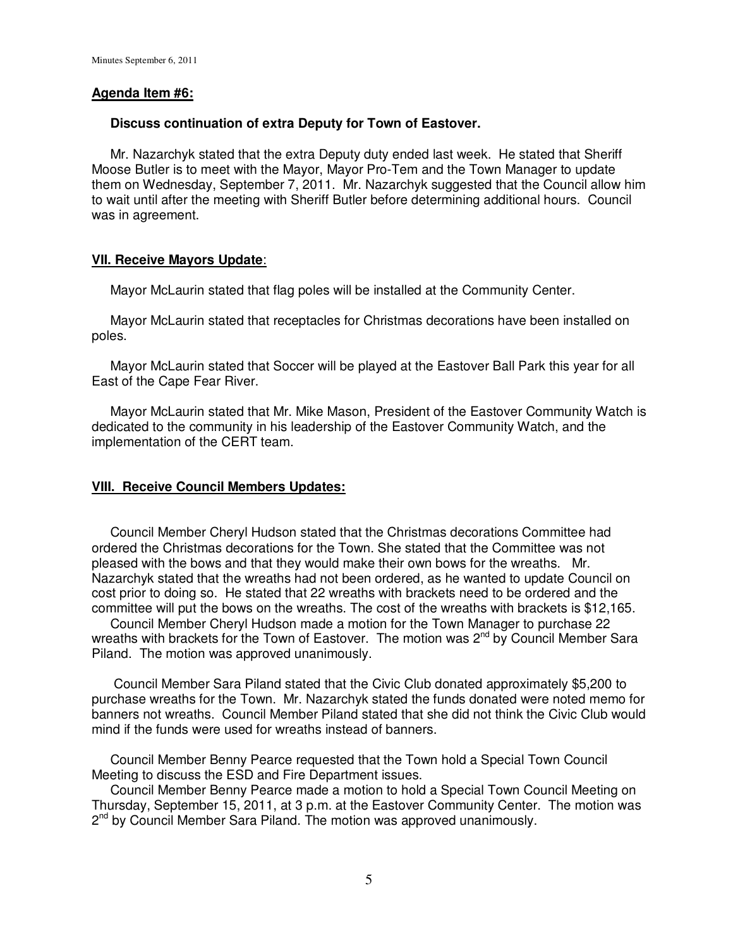# **Agenda Item #6:**

# **Discuss continuation of extra Deputy for Town of Eastover.**

 Mr. Nazarchyk stated that the extra Deputy duty ended last week. He stated that Sheriff Moose Butler is to meet with the Mayor, Mayor Pro-Tem and the Town Manager to update them on Wednesday, September 7, 2011. Mr. Nazarchyk suggested that the Council allow him to wait until after the meeting with Sheriff Butler before determining additional hours. Council was in agreement.

# **VII. Receive Mayors Update**:

Mayor McLaurin stated that flag poles will be installed at the Community Center.

 Mayor McLaurin stated that receptacles for Christmas decorations have been installed on poles.

 Mayor McLaurin stated that Soccer will be played at the Eastover Ball Park this year for all East of the Cape Fear River.

 Mayor McLaurin stated that Mr. Mike Mason, President of the Eastover Community Watch is dedicated to the community in his leadership of the Eastover Community Watch, and the implementation of the CERT team.

# **VIII. Receive Council Members Updates:**

 Council Member Cheryl Hudson stated that the Christmas decorations Committee had ordered the Christmas decorations for the Town. She stated that the Committee was not pleased with the bows and that they would make their own bows for the wreaths. Mr. Nazarchyk stated that the wreaths had not been ordered, as he wanted to update Council on cost prior to doing so. He stated that 22 wreaths with brackets need to be ordered and the committee will put the bows on the wreaths. The cost of the wreaths with brackets is \$12,165.

 Council Member Cheryl Hudson made a motion for the Town Manager to purchase 22 wreaths with brackets for the Town of Eastover. The motion was 2<sup>nd</sup> by Council Member Sara Piland. The motion was approved unanimously.

 Council Member Sara Piland stated that the Civic Club donated approximately \$5,200 to purchase wreaths for the Town. Mr. Nazarchyk stated the funds donated were noted memo for banners not wreaths. Council Member Piland stated that she did not think the Civic Club would mind if the funds were used for wreaths instead of banners.

 Council Member Benny Pearce requested that the Town hold a Special Town Council Meeting to discuss the ESD and Fire Department issues.

 Council Member Benny Pearce made a motion to hold a Special Town Council Meeting on Thursday, September 15, 2011, at 3 p.m. at the Eastover Community Center. The motion was 2<sup>nd</sup> by Council Member Sara Piland. The motion was approved unanimously.